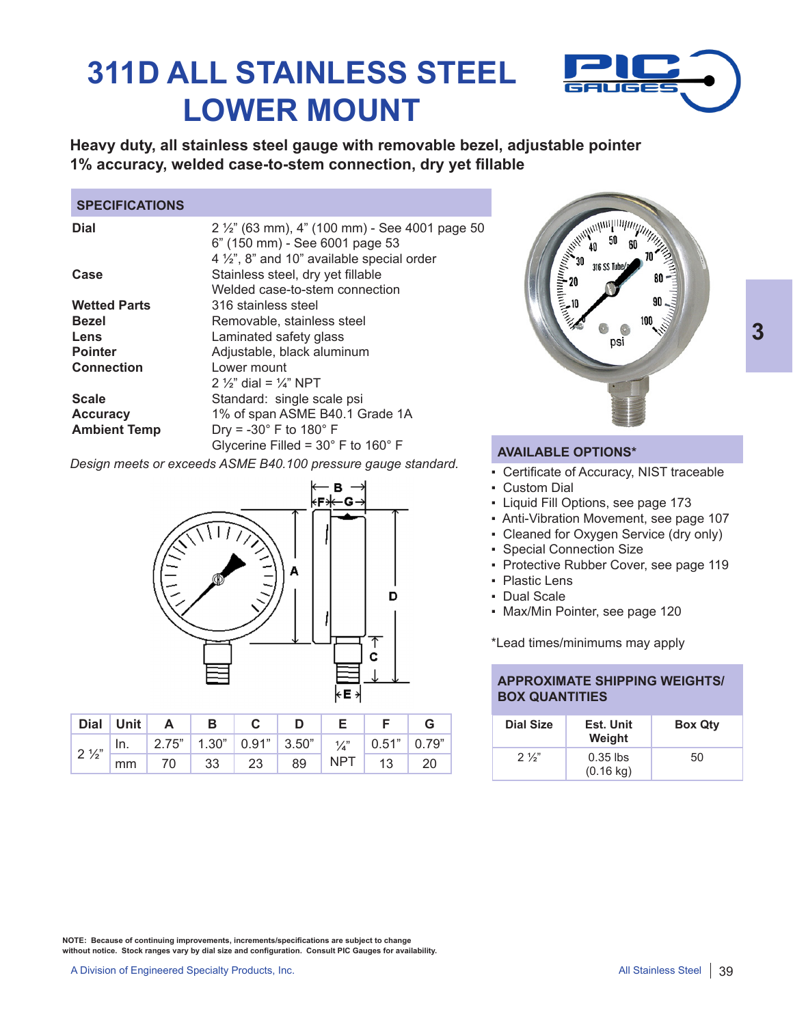# **311D ALL STAINLESS STEEL LOWER MOUNT**



**Heavy duty, all stainless steel gauge with removable bezel, adjustable pointer 1% accuracy, welded case-to-stem connection, dry yet fillable**

### **SPECIFICATIONS**

| $2\frac{1}{2}$ " (63 mm), 4" (100 mm) - See 4001 page 50<br>6" (150 mm) - See 6001 page 53<br>4 $\frac{1}{2}$ , 8" and 10" available special order |
|----------------------------------------------------------------------------------------------------------------------------------------------------|
| Stainless steel, dry yet fillable<br>Welded case-to-stem connection                                                                                |
| 316 stainless steel                                                                                                                                |
| Removable, stainless steel                                                                                                                         |
| Laminated safety glass                                                                                                                             |
| Adjustable, black aluminum                                                                                                                         |
| Lower mount                                                                                                                                        |
| 2 $\frac{1}{2}$ dial = $\frac{1}{4}$ NPT                                                                                                           |
| Standard: single scale psi                                                                                                                         |
| 1% of span ASME B40.1 Grade 1A                                                                                                                     |
| Dry = $-30^\circ$ F to 180 $^\circ$ F                                                                                                              |
| Glycerine Filled = $30^{\circ}$ F to $160^{\circ}$ F                                                                                               |
|                                                                                                                                                    |

*Design meets or exceeds ASME B40.100 pressure gauge standard.*



|                               | Dial Unit | $\overline{A}$                                                  | $\mathsf{B}$ |             |  |                        |  |
|-------------------------------|-----------|-----------------------------------------------------------------|--------------|-------------|--|------------------------|--|
| $\frac{1}{2}$ 2 $\frac{1}{2}$ | ,   In.   | 2.75"   1.30"   0.91"   3.50"   $\frac{1}{4}$ "   0.51"   0.79" |              |             |  |                        |  |
|                               | mm        |                                                                 |              | 70 33 23 89 |  | $\sqrt{$ NPT   13   20 |  |



### **AVAILABLE OPTIONS\***

- Certificate of Accuracy, NIST traceable
- Custom Dial
- Liquid Fill Options, see page 173
- Anti-Vibration Movement, see page 107
- Cleaned for Oxygen Service (dry only)
- Special Connection Size
- Protective Rubber Cover, see page 119
- Plastic Lens
- Dual Scale
- Max/Min Pointer, see page 120

\*Lead times/minimums may apply

### **APPROXIMATE SHIPPING WEIGHTS/ BOX QUANTITIES**

| <b>Dial Size</b> | Est. Unit<br>Weight               | <b>Box Qty</b> |
|------------------|-----------------------------------|----------------|
| $2\frac{1}{2}$   | $0.35$ lbs<br>$(0.16 \text{ kg})$ | 50             |

**NOTE: Because of continuing improvements, increments/specifications are subject to change without notice. Stock ranges vary by dial size and configuration. Consult PIC Gauges for availability.**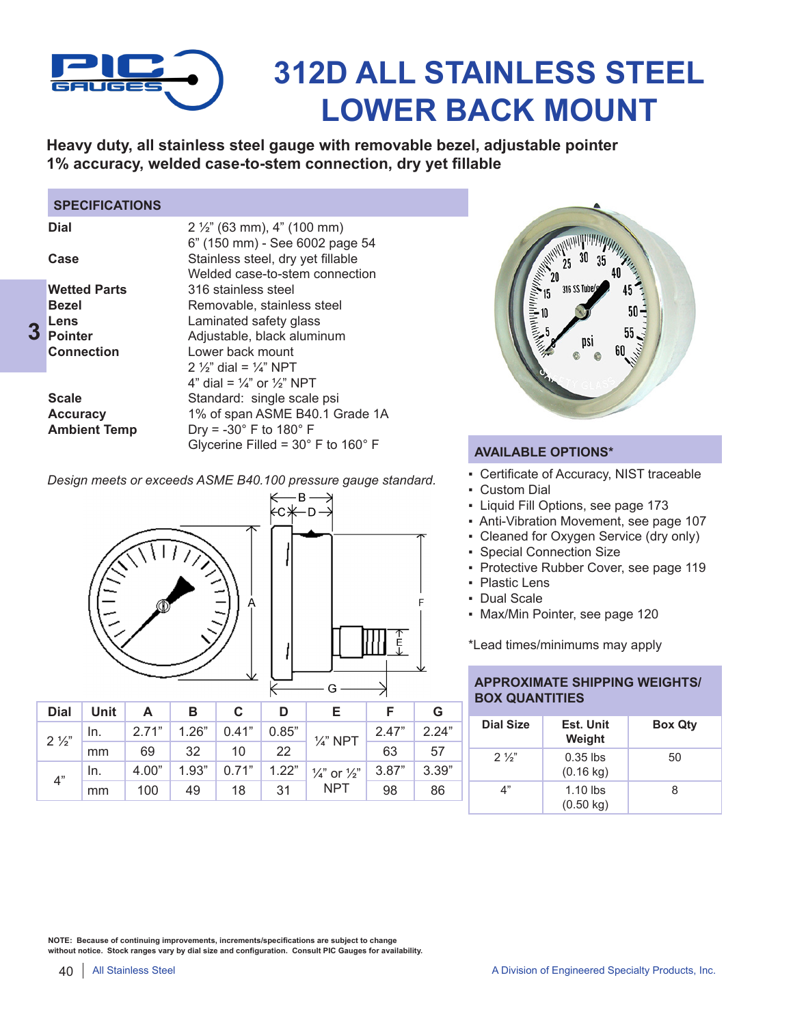

# **312D ALL STAINLESS STEEL LOWER BACK MOUNT**

**Heavy duty, all stainless steel gauge with removable bezel, adjustable pointer 1% accuracy, welded case-to-stem connection, dry yet fillable**

### **SPECIFICATIONS**

| <b>Dial</b>         | $2\frac{1}{2}$ " (63 mm), 4" (100 mm)<br>6" (150 mm) - See 6002 page 54 |
|---------------------|-------------------------------------------------------------------------|
| Case                | Stainless steel, dry yet fillable                                       |
|                     | Welded case-to-stem connection                                          |
| <b>Wetted Parts</b> | 316 stainless steel                                                     |
| <b>Bezel</b>        | Removable, stainless steel                                              |
| Lens                | Laminated safety glass                                                  |
| <b>Pointer</b>      | Adjustable, black aluminum                                              |
| <b>Connection</b>   | Lower back mount                                                        |
|                     | 2 $\frac{1}{2}$ dial = $\frac{1}{4}$ NPT                                |
|                     | 4" dial = $\frac{1}{4}$ " or $\frac{1}{2}$ " NPT                        |
| <b>Scale</b>        | Standard: single scale psi                                              |
| <b>Accuracy</b>     | 1% of span ASME B40.1 Grade 1A                                          |
| <b>Ambient Temp</b> | Dry = $-30^\circ$ F to 180 $^\circ$ F                                   |
|                     | Glycerine Filled = $30^{\circ}$ F to $160^{\circ}$ F                    |
|                     |                                                                         |



### **AVAILABLE OPTIONS\***

- Certificate of Accuracy, NIST traceable
- Custom Dial
- Liquid Fill Options, see page 173
- Anti-Vibration Movement, see page 107
- Cleaned for Oxygen Service (dry only)
- Special Connection Size
- Protective Rubber Cover, see page 119
- Plastic Lens
- Dual Scale
- Max/Min Pointer, see page 120

\*Lead times/minimums may apply

### **APPROXIMATE SHIPPING WEIGHTS/ BOX QUANTITIES**

| <b>Dial Size</b> | Est. Unit<br>Weight               | <b>Box Qty</b> |
|------------------|-----------------------------------|----------------|
| $2\frac{1}{2}$   | $0.35$ lbs<br>$(0.16 \text{ kg})$ | 50             |
| 4"               | $1.10$ lbs<br>$(0.50 \text{ kg})$ | 8              |

*Design meets or exceeds ASME B40.100 pressure gauge standard.*



| ←── B ──><br>⊱C⊁── D ─> |   |                                                     |
|-------------------------|---|-----------------------------------------------------|
|                         |   |                                                     |
|                         |   | F<br>$\begin{array}{c}\n\uparrow \\ E\n\end{array}$ |
|                         | G |                                                     |

| <b>Dial</b>    | <b>Unit</b> | А     | B                 | С     | D                   |                                                                             |                 | G     |
|----------------|-------------|-------|-------------------|-------|---------------------|-----------------------------------------------------------------------------|-----------------|-------|
| $2\frac{1}{2}$ | In.         | 2.71" | $\pm$ 1.26" $\pm$ | 0.41" | $\vert 0.85" \vert$ | $\frac{1}{4}$ " NPT                                                         | 2.47"           | 2.24" |
|                | mm          | 69    | 32                | 10    | 22                  |                                                                             | $\overline{63}$ | 57    |
|                | In.         | 4.00" |                   |       |                     | 1.93"   $0.71$ "   $1.22$ "   $\frac{1}{4}$ " or $\frac{1}{2}$ "   $3.87$ " |                 | 3.39" |
| 4"             | mm          | 100   | 49                | 18    | 31                  | <b>NPT</b>                                                                  | 98              | 86    |

**NOTE: Because of continuing improvements, increments/specifications are subject to change without notice. Stock ranges vary by dial size and configuration. Consult PIC Gauges for availability.**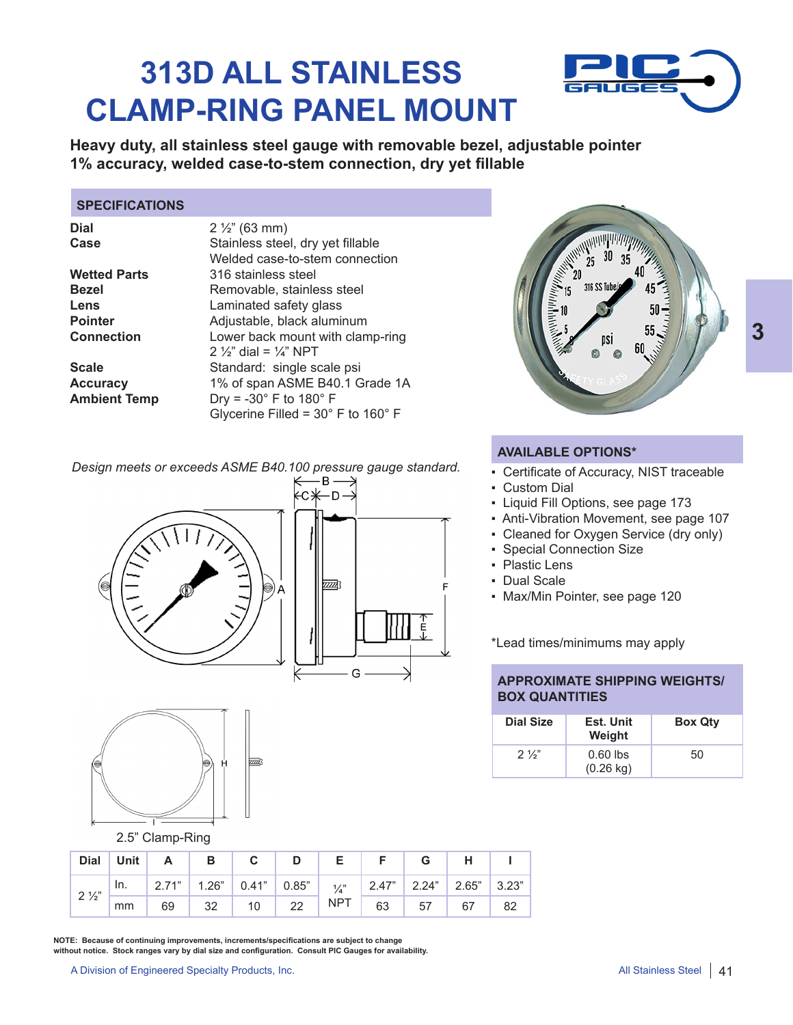# **313D ALL STAINLESS CLAMP-RING PANEL MOUNT**



**Heavy duty, all stainless steel gauge with removable bezel, adjustable pointer 1% accuracy, welded case-to-stem connection, dry yet fillable**

### **SPECIFICATIONS**

**Dial** 2 ½" (63 mm) **Wetted Parts** 316 stainless steel **Lens** Laminated safety glass<br> **Pointer** Adiustable. black alumin

Case Stainless steel, dry yet fillable Welded case-to-stem connection **Bezel** Removable, stainless steel<br> **Lens** I aminated safety glass **Pointer** Adjustable, black aluminum **Connection** Lower back mount with clamp-ring 2  $\frac{1}{2}$ " dial =  $\frac{1}{4}$ " NPT **Scale** Standard: single scale psi **Accuracy** 1% of span ASME B40.1 Grade 1A<br>**Ambient Temp** Dry = -30° F to 180° F **Ambient Temp** Dry = -30° F to 180° F Glycerine Filled = 30° F to 160° F

*Design meets or exceeds ASME B40.100 pressure gauge standard.*





2.5" Clamp-Ring

|                |    | Dial Unit   $A$   $B$   $C$   $D$   $E$                                               |             |  | $F \mid G$ | $\mathsf{H}$ |     |
|----------------|----|---------------------------------------------------------------------------------------|-------------|--|------------|--------------|-----|
| $2\frac{1}{2}$ |    | In.   2.71"   1.26"   0.41"   0.85"   $\frac{1}{4}$ "   2.47"   2.24"   2.65"   3.23" |             |  |            |              |     |
|                | mm |                                                                                       | 69 32 10 22 |  |            |              | -82 |

**NOTE: Because of continuing improvements, increments/specifications are subject to change without notice. Stock ranges vary by dial size and configuration. Consult PIC Gauges for availability.** 

A Division of Engineered Specialty Products, Inc.

![](_page_2_Figure_14.jpeg)

**3**

### **AVAILABLE OPTIONS\***

- Certificate of Accuracy, NIST traceable
- Custom Dial
- Liquid Fill Options, see page 173
- Anti-Vibration Movement, see page 107
- Cleaned for Oxygen Service (dry only)
- Special Connection Size
- Plastic Lens
- Dual Scale
- Max/Min Pointer, see page 120

\*Lead times/minimums may apply

### **APPROXIMATE SHIPPING WEIGHTS/ BOX QUANTITIES**

| <b>Dial Size</b> | Est. Unit<br>Weight               | <b>Box Qty</b> |
|------------------|-----------------------------------|----------------|
| $2\frac{1}{3}$   | $0.60$ lbs<br>$(0.26 \text{ kg})$ | 50             |